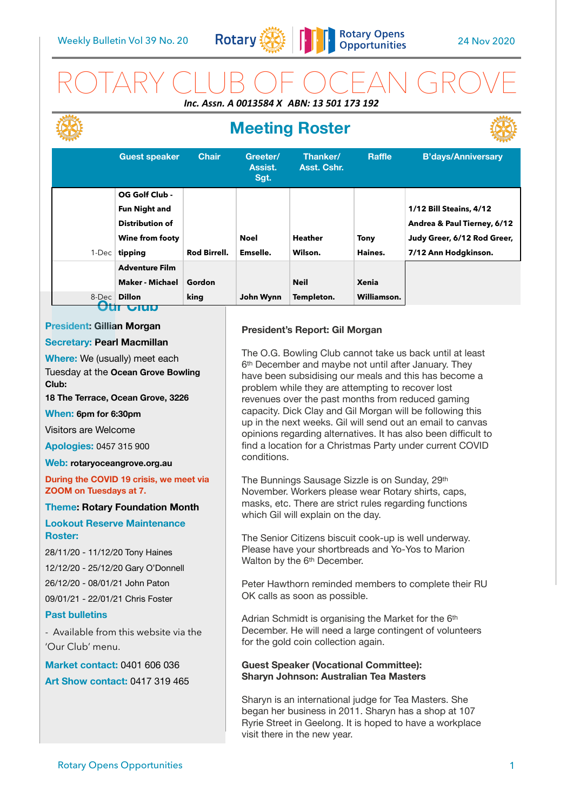

# ROTARY CLUB OF OCEAN GROVE *Inc. Assn. A 0013584 X ABN: 13 501 173 192*

# **Meeting Roster**



|                  | <b>Guest speaker</b>                                                                    | <b>Chair</b>        | Greeter/<br>Assist.<br>Sgt. | Thanker/<br>Asst. Cshr.   | <b>Raffle</b>               | <b>B'days/Anniversary</b>                                                                                            |
|------------------|-----------------------------------------------------------------------------------------|---------------------|-----------------------------|---------------------------|-----------------------------|----------------------------------------------------------------------------------------------------------------------|
| $1$ -Dec $\vert$ | OG Golf Club -<br><b>Fun Night and</b><br>Distribution of<br>Wine from footy<br>tipping | <b>Rod Birrell.</b> | <b>Noel</b><br>Emselle.     | <b>Heather</b><br>Wilson. | <b>Tony</b><br>Haines.      | <b>1/12 Bill Steains, 4/12</b><br>Andrea & Paul Tierney, 6/12<br>Judy Greer, 6/12 Rod Greer,<br>7/12 Ann Hodgkinson. |
|                  | <b>Adventure Film</b><br><b>Maker - Michael</b><br>8-Dec Dillon<br>Ulu                  | Gordon<br>king      | John Wynn                   | <b>Neil</b><br>Templeton. | <b>Xenia</b><br>Williamson. |                                                                                                                      |

### **President: Gillian Morgan**

### **Secretary: Pearl Macmillan**

**Where:** We (usually) meet each Tuesday at the **Ocean Grove Bowling Club:** 

**18 The Terrace, Ocean Grove, 3226** 

### **When: 6pm for 6:30pm**

Visitors are Welcome

**Apologies:** 0457 315 900

#### **Web: [rotaryoceangrove.org.au](http://rotaryoceangrove.org.au)**

**During the COVID 19 crisis, we meet via ZOOM on Tuesdays at 7.**

### **Theme: Rotary Foundation Month**

### **Lookout Reserve Maintenance Roster:**

28/11/20 - 11/12/20 Tony Haines 12/12/20 - 25/12/20 Gary O'Donnell

26/12/20 - 08/01/21 John Paton

09/01/21 - 22/01/21 Chris Foster

### **Past bulletins**

- Available from this website via the 'Our Club' menu.

**Market contact:** 0401 606 036 **Art Show contact:** 0417 319 465

### **President's Report: Gil Morgan**

The O.G. Bowling Club cannot take us back until at least 6th December and maybe not until after January. They have been subsidising our meals and this has become a problem while they are attempting to recover lost revenues over the past months from reduced gaming capacity. Dick Clay and Gil Morgan will be following this up in the next weeks. Gil will send out an email to canvas opinions regarding alternatives. It has also been difficult to find a location for a Christmas Party under current COVID conditions.

The Bunnings Sausage Sizzle is on Sunday, 29th November. Workers please wear Rotary shirts, caps, masks, etc. There are strict rules regarding functions which Gil will explain on the day.

The Senior Citizens biscuit cook-up is well underway. Please have your shortbreads and Yo-Yos to Marion Walton by the 6<sup>th</sup> December.

Peter Hawthorn reminded members to complete their RU OK calls as soon as possible.

Adrian Schmidt is organising the Market for the 6th December. He will need a large contingent of volunteers for the gold coin collection again.

### **Guest Speaker (Vocational Committee): Sharyn Johnson: Australian Tea Masters**

Sharyn is an international judge for Tea Masters. She began her business in 2011. Sharyn has a shop at 107 Ryrie Street in Geelong. It is hoped to have a workplace visit there in the new year.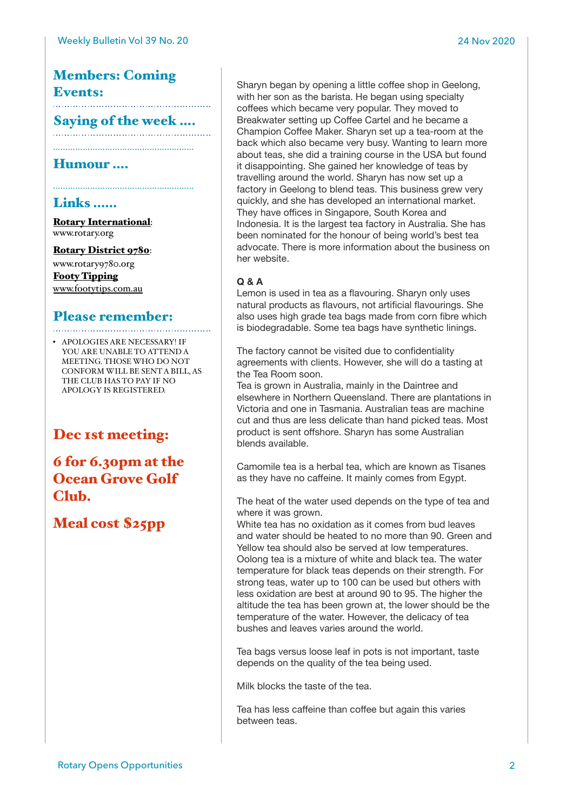# Members: Coming Events:

# Saying of the week ....

…………………………………………………

…………………………………………………

### Humour ….

### Links ……

[Rotary International](https://www.rotary.org): [www.rotary.org](http://www.rotary.org)

[Rotary District 9780](http://rotary9780.org): [www.rotary9780.org](http://www.rotary9780.org)

[Footy Tipping](http://www.footytips.com.au) [www.footytips.com.au](http://www.footytips.com.au)

## Please remember:

• APOLOGIES ARE NECESSARY! IF YOU ARE UNABLE TO ATTEND A MEETING. THOSE WHO DO NOT CONFORM WILL BE SENT A BILL, AS THE CLUB HAS TO PAY IF NO APOLOGY IS REGISTERED.

## Dec 1st meeting:

6 for 6.30pm at the Ocean Grove Golf Club.

Meal cost \$25pp

Sharyn began by opening a little coffee shop in Geelong, with her son as the barista. He began using specialty coffees which became very popular. They moved to Breakwater setting up Coffee Cartel and he became a Champion Coffee Maker. Sharyn set up a tea-room at the back which also became very busy. Wanting to learn more about teas, she did a training course in the USA but found it disappointing. She gained her knowledge of teas by travelling around the world. Sharyn has now set up a factory in Geelong to blend teas. This business grew very quickly, and she has developed an international market. They have offices in Singapore, South Korea and Indonesia. It is the largest tea factory in Australia. She has been nominated for the honour of being world's best tea advocate. There is more information about the business on her website.

### **Q & A**

Lemon is used in tea as a flavouring. Sharyn only uses natural products as flavours, not artificial flavourings. She also uses high grade tea bags made from corn fibre which is biodegradable. Some tea bags have synthetic linings.

The factory cannot be visited due to confidentiality agreements with clients. However, she will do a tasting at the Tea Room soon.

Tea is grown in Australia, mainly in the Daintree and elsewhere in Northern Queensland. There are plantations in Victoria and one in Tasmania. Australian teas are machine cut and thus are less delicate than hand picked teas. Most product is sent offshore. Sharyn has some Australian blends available.

Camomile tea is a herbal tea, which are known as Tisanes as they have no caffeine. It mainly comes from Egypt.

The heat of the water used depends on the type of tea and where it was grown.

White tea has no oxidation as it comes from bud leaves and water should be heated to no more than 90. Green and Yellow tea should also be served at low temperatures. Oolong tea is a mixture of white and black tea. The water temperature for black teas depends on their strength. For strong teas, water up to 100 can be used but others with less oxidation are best at around 90 to 95. The higher the altitude the tea has been grown at, the lower should be the temperature of the water. However, the delicacy of tea bushes and leaves varies around the world.

Tea bags versus loose leaf in pots is not important, taste depends on the quality of the tea being used.

Milk blocks the taste of the tea.

Tea has less caffeine than coffee but again this varies between teas.